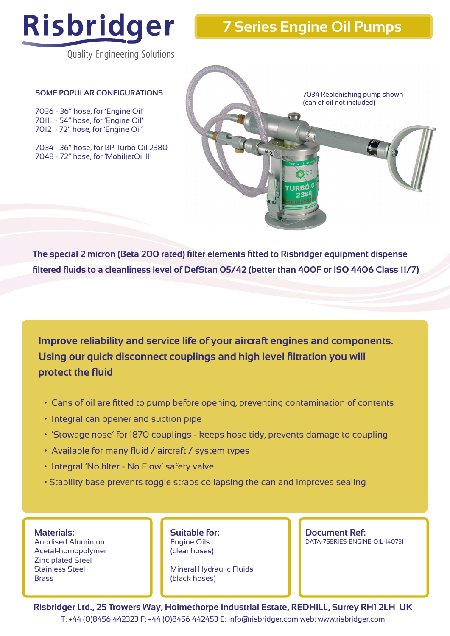

## **7 Series Engine Oil Pumps**

Quality Engineering Solutions

## **SOME POPULAR CONFIGURATIONS**

7036 - 36" hose, for 'Engine Oil' 7011 - 54" hose, for 'Engine Oil' 7012 - 72" hose, for 'Engine Oil'

7034 - 36" hose, for BP Turbo Oil 2380 7048 - 72" hose, for 'MobiljetOil II'



**The special 2 micron (Beta 200 rated) filter elements fitted to Risbridger equipment dispense filtered fluids to a cleanliness level of DefStan 05/42 (better than 400F or ISO 4406 Class 11/7)**

**Improve reliability and service life of your aircraft engines and components. Using our quick disconnect couplings and high level filtration you will protect the fluid**

- Cans of oil are fitted to pump before opening, preventing contamination of contents
- Integral can opener and suction pipe
- 'Stowage nose' for 1870 couplings keeps hose tidy, prevents damage to coupling
- Available for many fluid / aircraft / system types
- Integral 'No filter No Flow' safety valve
- Stability base prevents toggle straps collapsing the can and improves sealing

**Materials:**

Anodised Aluminium Acetal-homopolymer Zinc plated Steel Stainless Steel **Brass** 

**Suitable for:** Engine Oils (clear hoses)

Mineral Hydraulic Fluids (black hoses)

**Document Ref:**  DATA-7SERIES-ENGINE-OIL-140731

**Risbridger Ltd., 25 Trowers Way, Holmethorpe Industrial Estate, REDHILL, Surrey RH1 2LH UK** T: +44 (0)8456 442323 F: +44 (0)8456 442453 E: info@risbridger.com web: www.risbridger.com